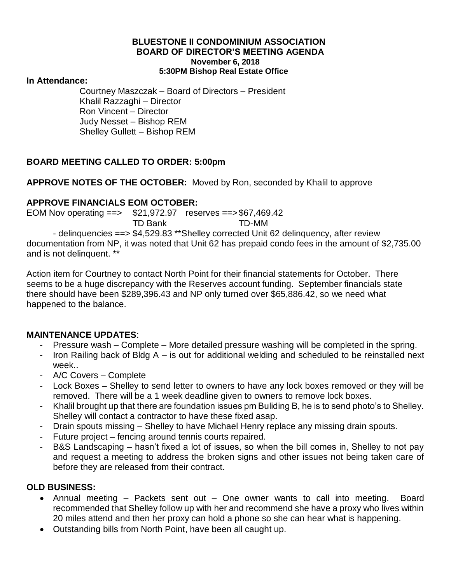#### **BLUESTONE II CONDOMINIUM ASSOCIATION BOARD OF DIRECTOR'S MEETING AGENDA November 6, 2018 5:30PM Bishop Real Estate Office**

#### **In Attendance:**

Courtney Maszczak – Board of Directors – President Khalil Razzaghi – Director Ron Vincent – Director Judy Nesset – Bishop REM Shelley Gullett – Bishop REM

# **BOARD MEETING CALLED TO ORDER: 5:00pm**

## **APPROVE NOTES OF THE OCTOBER:** Moved by Ron, seconded by Khalil to approve

## **APPROVE FINANCIALS EOM OCTOBER:**

EOM Nov operating ==> \$21,972.97 reserves ==>\$67,469.42 TD Bank TD-MM - delinquencies ==> \$4,529.83 \*\*Shelley corrected Unit 62 delinquency, after review documentation from NP, it was noted that Unit 62 has prepaid condo fees in the amount of \$2,735.00 and is not delinquent. \*\*

Action item for Courtney to contact North Point for their financial statements for October. There seems to be a huge discrepancy with the Reserves account funding. September financials state there should have been \$289,396.43 and NP only turned over \$65,886.42, so we need what happened to the balance.

## **MAINTENANCE UPDATES**:

- Pressure wash Complete More detailed pressure washing will be completed in the spring.
- Iron Railing back of Bldg  $A -$  is out for additional welding and scheduled to be reinstalled next week..
- A/C Covers Complete
- Lock Boxes Shelley to send letter to owners to have any lock boxes removed or they will be removed. There will be a 1 week deadline given to owners to remove lock boxes.
- Khalil brought up that there are foundation issues pm Buliding B, he is to send photo's to Shelley. Shelley will contact a contractor to have these fixed asap.
- Drain spouts missing Shelley to have Michael Henry replace any missing drain spouts.
- Future project fencing around tennis courts repaired.
- B&S Landscaping hasn't fixed a lot of issues, so when the bill comes in, Shelley to not pay and request a meeting to address the broken signs and other issues not being taken care of before they are released from their contract.

# **OLD BUSINESS:**

- Annual meeting Packets sent out One owner wants to call into meeting. Board recommended that Shelley follow up with her and recommend she have a proxy who lives within 20 miles attend and then her proxy can hold a phone so she can hear what is happening.
- Outstanding bills from North Point, have been all caught up.